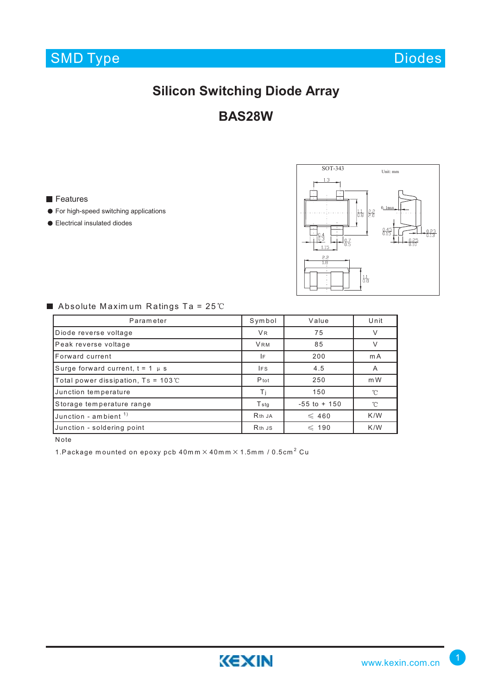

Diodes

# **Silicon Switching Diode Array**

**BAS28W**

### **Features**

- **•** For high-speed switching applications
- Electrical insulated diodes



## Absolute Maximum Ratings Ta =  $25^{\circ}$ C

| Parameter                                   | Symbol                         | Value           | Unit         |
|---------------------------------------------|--------------------------------|-----------------|--------------|
| Diode reverse voltage                       | <b>VR</b>                      | 75              | V            |
| Peak reverse voltage                        | <b>VRM</b>                     | 85              | ν            |
| Forward current                             | IF                             | 200             | mA           |
| Surge forward current, $t = 1$ $\mu$ s      | IF <sub>S</sub>                | 4.5             | A            |
| Total power dissipation, $Ts = 103^{\circ}$ | Ptot                           | 250             | mW           |
| Junction temperature                        | Τi                             | 150             | $^{\circ}$ C |
| Storage temperature range                   | <b>T</b> stg                   | $-55$ to $+150$ | $^{\circ}$ C |
| Junction - ambient $1$ )                    | R <sub>th</sub> JA             | $\leqslant$ 460 | K/W          |
| Junction - soldering point                  | R <sub>th</sub> J <sub>S</sub> | $\leqslant$ 190 | K/W          |

Note

1.Package mounted on epoxy pcb 40mm  $\times$  40mm  $\times$  1.5mm / 0.5cm<sup>2</sup> Cu